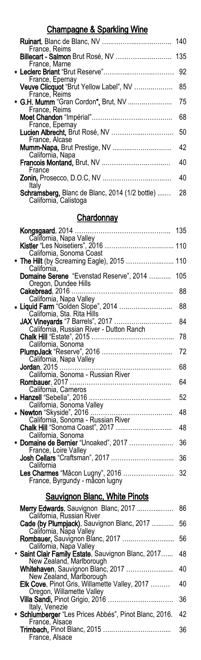# Champagne & Sparkling Wine

| France, Reims                                                   | 140 |
|-----------------------------------------------------------------|-----|
| Billecart - Salmon Brut Rosé, NV<br>France, Marne               | 135 |
|                                                                 | 92  |
| France, Epernay<br>Veuve Clicquot "Brut Yellow Label", NV       | 85  |
| France, Reims<br>* G.H. Mumm "Gran Cordon", Brut, NV            | 75  |
| France, Reims                                                   | 68  |
| France, Epernay<br>Lucien Albrecht, Brut Rosé, NV               | 50  |
| France, Alcase<br><b>Mumm-Napa, Brut Prestige, NV </b>          | 42  |
| California, Napa<br>Francois Montand, Brut, NV                  | 40  |
| France<br><b>Zonin, Prosecco, D.O.C, NV</b>                     | 40  |
| Italy<br><b>Schramsberg, Blanc de Blanc, 2014 (1/2 bottle) </b> | 28  |
| California, Calistoga                                           |     |
|                                                                 |     |

### **Chardonnay**

| Kongsgaard, $2014$                                              | 135 |
|-----------------------------------------------------------------|-----|
| California, Napa Valley                                         |     |
| California, Sonoma Coast                                        |     |
| * The Hilt (by Screaming Eagle), 2015  110<br>California.       |     |
| Domaine Serene "Evenstad Reserve", 2014<br>Oregon, Dundee Hills | 105 |
|                                                                 | 88  |
| California, Napa Valley                                         |     |
| * Liquid Farm "Golden Slope", 2014                              | 88  |
| California, Sta. Rita Hills                                     |     |
| JAX Vineyards "7 Barrels", 2017                                 | 84  |
| California, Russian River - Dutton Ranch                        | 78  |
| California, Sonoma                                              |     |
|                                                                 | 72  |
| California, Napa Valley                                         |     |
|                                                                 | 68  |
|                                                                 |     |
|                                                                 | 64  |
| California, Carneros                                            |     |
|                                                                 | 52  |
| California, Sonoma Valley                                       |     |
|                                                                 | 48  |
| California, Sonoma - Russian River                              |     |
| Chalk Hill "Sonoma Coast", 2017                                 | 48  |
| California, Sonoma                                              |     |
| * Domaine de Bernier "Unoaked", 2017<br>France, Loire Valley    | 36  |
|                                                                 | 36  |
| California                                                      |     |
| Les Charmes "Mâcon Lugny", 2016                                 | 32  |
| France, Byrgundy - mầcon lugny                                  |     |
|                                                                 |     |
|                                                                 |     |

# Sauvignon Blanc, White Pinots

| <b>Merry Edwards</b> , Sauvignon Blanc, 2017<br>86 |
|----------------------------------------------------|
| 56                                                 |
| 56                                                 |
| 48                                                 |
| 40                                                 |
| 40                                                 |
| 36                                                 |
| 42                                                 |
| 36                                                 |
|                                                    |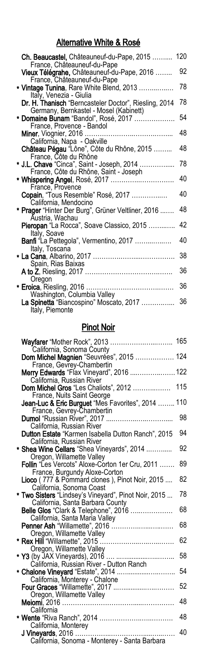# Alternative White & Rosé

| Ch. Beaucastel, Châteauneuf-du-Pape, 2015<br>France, Châteauneuf-du-Pape                           | 120 |
|----------------------------------------------------------------------------------------------------|-----|
| Vieux Télégrahe, Châteauneuf-du-Pape, 2016                                                         | 92  |
| France, Châteauneuf-du-Pape<br>* Vintage Tunina, Rare White Blend, 2013<br>Italy, Venezia - Giulia | 78  |
| Dr. H. Thanisch "Berncasteler Doctor", Riesling, 2014<br>Germany, Bernkastel - Mosel (Kabinett)    | 78  |
| * Domaine Bunam "Bandol", Rosé, 2017<br>France, Provence - Bandol                                  | 54  |
| Miner, Viognier, 2016<br>California, Napa - Oakville                                               | 48  |
| Château Pégau "Lône", Côte du Rhône, 2015                                                          | 48  |
| France, Côte du Rhône<br>* J.L. Chave "Cinca", Saint - Joseph, 2014                                | 78  |
| France, Côte du Rhône, Saint - Joseph                                                              | 40  |
| France, Provence<br>Copain, "Tous Resemble" Rosé, 2017                                             | 40  |
| California, Mendocino<br>* Prager "Hinter Der Burg", Grüner Veltliner, 2016                        | 48  |
| Áustria, Wachau<br>Pieropan "La Rocca", Soave Classico, 2015                                       | 42  |
| Italy, Soave<br><b>Banfi</b> "La Pettegola", Vermentino, 2017                                      | 40  |
| Italy, Toscana                                                                                     | 38  |
| Spain, Rias Baixas                                                                                 | 36  |
| Oregon<br><b>* Eroica</b> , Riesling, 2016                                                         | 36  |
| Washington, Columbia Valley<br>La Spinetta "Biancospino" Moscato, 2017                             | 36  |
| Italy, Piemonte                                                                                    |     |

#### Pinot Noir

| California, Sonoma County                                                                | 165 |
|------------------------------------------------------------------------------------------|-----|
| Dom Michel Magnien "Seuvrées", 2015  124                                                 |     |
| France, Gevrey-Chambertin<br>Merry Edwards "Flax Vineyard", 2016  122                    |     |
| California, Russian River<br>Dom Michel Gros "Les Chaliots", 2012                        | 115 |
| France, Nuits Saint George<br>Jean-Luc & Eric Burguet "Mes Favorites", 2014              | 110 |
| France, Gevrey-Chambertin                                                                | 98  |
| California, Russian River<br>Dutton Estate "Karmen Isabella Dutton Ranch", 2015          | 94  |
| California, Russian River<br>* Shea Wine Cellars "Shea Vineyards", 2014                  | 92  |
| Oregon, Willamette Valley<br>Follin "Les Vercots" Aloxe-Corton 1er Cru, 2011             | 89  |
| France, Burgundy Aloxe-Corton                                                            | 82  |
| Lioco (777 & Pommard clones), Pinot Noir, 2015<br>California, Sonoma Coast               |     |
| * Two Sisters "Lindsey's Vineyard", Pinot Noir, 2015<br>California, Santa Barbara County | 78  |
| Belle Glos "Clark & Telephone", 2016<br>California, Santa Maria Valley                   | 68  |
| <b>Penner Ash "Willamette", 2016</b><br>Oregon, Willamette Valley                        | 68  |
| Oregon, Willamette Valley                                                                | 62  |
| California, Russian River - Dutton Ranch                                                 | 58  |
|                                                                                          | 54  |
|                                                                                          | 52  |
| Oregon, Willamette Valley                                                                | 48  |
| California                                                                               | 48  |
| California, Monterey                                                                     | 40  |
| California, Sonoma - Monterey - Santa Barbara                                            |     |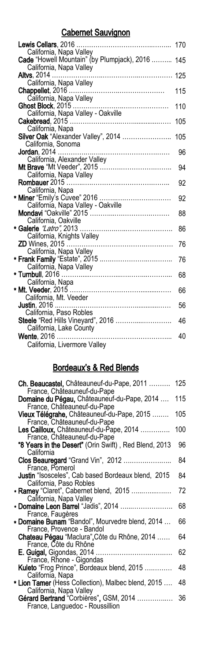### Cabernet Sauvignon

| Lewis Cellars, 2016                                                    | 170 |
|------------------------------------------------------------------------|-----|
| California, Napa Valley<br>Cade "Howell Mountain" (by Plumpjack), 2016 | 145 |
| California, Napa Valley                                                |     |
| <b>Altvs</b> , 2014                                                    | 125 |
| California, Napa Valley                                                |     |
| California, Napa Valley                                                | 115 |
|                                                                        | 110 |
|                                                                        |     |
|                                                                        | 105 |
| California, Napa                                                       |     |
| Silver Oak "Alexander Valley", 2014                                    | 105 |
| California, Sonoma                                                     |     |
| California, Alexander Valley                                           | 96  |
|                                                                        | 94  |
| California, Napa Valley                                                |     |
|                                                                        | 92  |
| California, Napa                                                       |     |
| * Miner "Emily's Cuvee" 2016                                           | 92  |
| California, Napa Valley - Oakville                                     | 88  |
| California, Oakville                                                   |     |
|                                                                        | 86  |
| California, Knights Valley                                             |     |
|                                                                        | 76  |
| California, Napa Valley                                                |     |
|                                                                        | 76  |
| California, Napa Valley                                                | 68  |
|                                                                        |     |
|                                                                        | 66  |
| California, Mt. Veeder                                                 |     |
|                                                                        | 56  |
| California, Paso Robles                                                |     |
| Steele "Red Hills Vineyard", 2016<br>California, Lake County           | 46  |
|                                                                        | 40  |
| California, Livermore Valley                                           |     |
|                                                                        |     |

### Bordeaux's & Red Blends

|            | Ch. Beaucastel, Châteauneuf-du-Pape, 2011<br>France, Châteauneuf-du-Pape             | 125 |
|------------|--------------------------------------------------------------------------------------|-----|
|            | Domaine du Pégau, Châteauneuf-du-Pape, 2014                                          | 115 |
|            | France, Châteauneuf-du-Pape<br>Vieux Télégrahe, Châteauneuf-du-Pape, 2015            | 105 |
|            | France, Châteauneuf-du-Pape<br>Les Cailloux, Châteauneuf-du-Pape, 2014               | 100 |
| California | France, Châteauneuf-du-Pape<br>"8 Years in the Desert" (Orin Swift), Red Blend, 2013 | 96  |
|            | Clos Beauregard "Grand Vin", 2012<br>France, Pomerol                                 | 84  |
|            | <b>Justin</b> "Isosceles", Cab based Bordeaux blend, 2015<br>California, Paso Robles | 84  |
|            | <b>* Ramey</b> "Claret", Cabernet blend, 2015<br>California, Napa Valley             | 72  |
|            | * Domaine Leon Barrel "Jadis", 2014<br>France, Faugères                              | 68  |
|            | * Domaine Bunam "Bandol", Mourvedre blend, 2014<br>France, Provence - Bandol         | 66  |
|            | Chateau Pégau "Maclura", Côte du Rhône, 2014<br>France, Côte du Rhône                | 64  |
|            | France, Rhone - Gigondas                                                             | 62  |
|            | Kuleto "Frog Prince", Bordeaux blend, 2015<br>California, Napa                       | 48  |
|            | * Lion Tamer (Hess Collection), Malbec blend, 2015<br>California, Napa Valley        | 48  |
|            | Gérard Bertrand "Corbières", GSM, 2014<br>France, Languedoc - Roussillion            | 36  |
|            |                                                                                      |     |